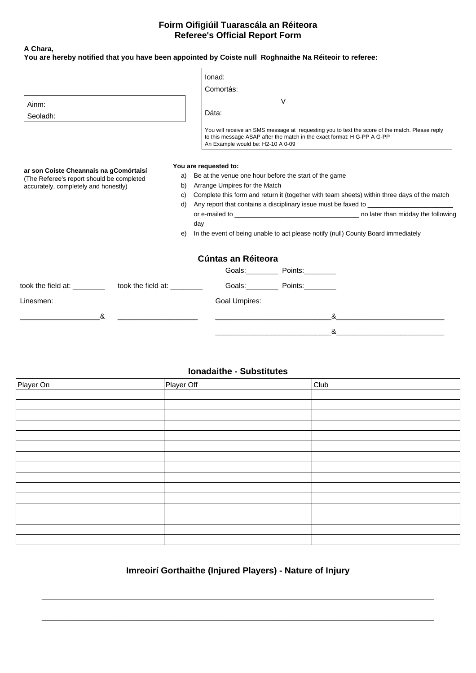## **Foirm Oifigiúil Tuarascála an Réiteora Referee's Official Report Form**

### **A Chara,**

| You are hereby notified that you have been appointed by Coiste null Roghnaithe Na Réiteoir to referee: |    |                                                                                                                                    |                |                                                                                                |
|--------------------------------------------------------------------------------------------------------|----|------------------------------------------------------------------------------------------------------------------------------------|----------------|------------------------------------------------------------------------------------------------|
|                                                                                                        |    | lonad:                                                                                                                             |                |                                                                                                |
|                                                                                                        |    | Comortás:                                                                                                                          |                |                                                                                                |
| Ainm:                                                                                                  |    | V                                                                                                                                  |                |                                                                                                |
| Seoladh:                                                                                               |    | Dáta:                                                                                                                              |                |                                                                                                |
|                                                                                                        |    | to this message ASAP after the match in the exact format: H G-PP A G-PP<br>An Example would be: H2-10 A 0-09                       |                | You will receive an SMS message at requesting you to text the score of the match. Please reply |
| ar son Coiste Cheannais na gComórtaisí<br>(The Referee's report should be completed                    | a) | You are requested to:<br>Be at the venue one hour before the start of the game                                                     |                |                                                                                                |
| accurately, completely and honestly)                                                                   | b) | Arrange Umpires for the Match<br>Complete this form and return it (together with team sheets) within three days of the match<br>C) |                |                                                                                                |
|                                                                                                        |    |                                                                                                                                    |                |                                                                                                |
|                                                                                                        |    | Any report that contains a disciplinary issue must be faxed to<br>d)                                                               |                |                                                                                                |
|                                                                                                        |    | day                                                                                                                                |                |                                                                                                |
|                                                                                                        | e) |                                                                                                                                    |                | In the event of being unable to act please notify (null) County Board immediately              |
|                                                                                                        |    | Cúntas an Réiteora                                                                                                                 |                |                                                                                                |
|                                                                                                        |    |                                                                                                                                    | Goals: Points: |                                                                                                |
| took the field at: took the field at:                                                                  |    |                                                                                                                                    | Goals: Points: |                                                                                                |
| Linesmen:                                                                                              |    | Goal Umpires:                                                                                                                      |                |                                                                                                |
| &                                                                                                      |    |                                                                                                                                    | &              |                                                                                                |

### **Ionadaithe - Substitutes**

 $\infty$ 

| Player On | Player Off | Club |
|-----------|------------|------|
|           |            |      |
|           |            |      |
|           |            |      |
|           |            |      |
|           |            |      |
|           |            |      |
|           |            |      |
|           |            |      |
|           |            |      |
|           |            |      |
|           |            |      |
|           |            |      |
|           |            |      |
|           |            |      |
|           |            |      |

# **Imreoirí Gorthaithe (Injured Players) - Nature of Injury**

 $\_$  . The contribution of the contribution of the contribution of the contribution of the contribution of the contribution of the contribution of the contribution of the contribution of the contribution of the contributio

 $\_$  , and the set of the set of the set of the set of the set of the set of the set of the set of the set of the set of the set of the set of the set of the set of the set of the set of the set of the set of the set of th